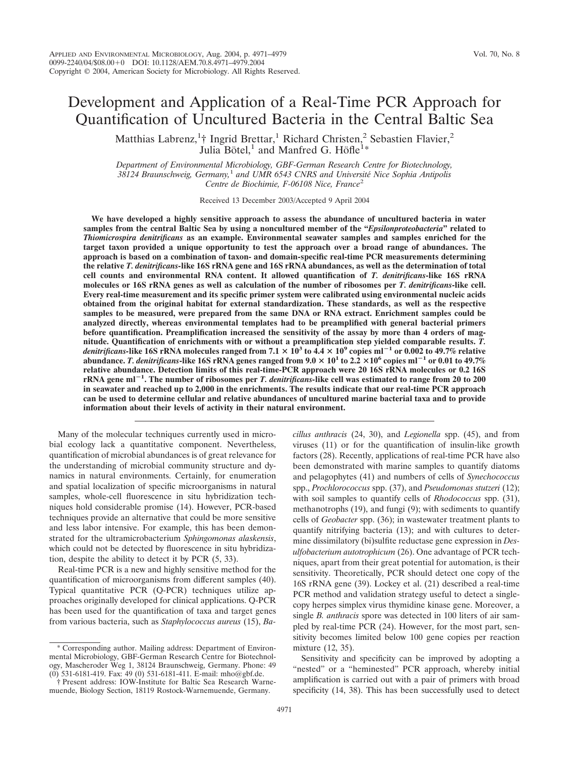# Development and Application of a Real-Time PCR Approach for Quantification of Uncultured Bacteria in the Central Baltic Sea

Matthias Labrenz,<sup>1</sup>† Ingrid Brettar,<sup>1</sup> Richard Christen,<sup>2</sup> Sebastien Flavier,<sup>2</sup> Julia Bötel,<sup>1</sup> and Manfred G. Höfle<sup>1\*</sup>

*Department of Environmental Microbiology, GBF-German Research Centre for Biotechnology, 38124 Braunschweig, Germany,*<sup>1</sup> *and UMR 6543 CNRS and Universite´ Nice Sophia Antipolis Centre de Biochimie, F-06108 Nice, France*<sup>2</sup>

Received 13 December 2003/Accepted 9 April 2004

**We have developed a highly sensitive approach to assess the abundance of uncultured bacteria in water samples from the central Baltic Sea by using a noncultured member of the "***Epsilonproteobacteria***" related to** *Thiomicrospira denitrificans* **as an example. Environmental seawater samples and samples enriched for the target taxon provided a unique opportunity to test the approach over a broad range of abundances. The approach is based on a combination of taxon- and domain-specific real-time PCR measurements determining the relative** *T. denitrificans-***like 16S rRNA gene and 16S rRNA abundances, as well as the determination of total cell counts and environmental RNA content. It allowed quantification of** *T. denitrificans***-like 16S rRNA molecules or 16S rRNA genes as well as calculation of the number of ribosomes per** *T. denitrificans***-like cell. Every real-time measurement and its specific primer system were calibrated using environmental nucleic acids obtained from the original habitat for external standardization. These standards, as well as the respective samples to be measured, were prepared from the same DNA or RNA extract. Enrichment samples could be analyzed directly, whereas environmental templates had to be preamplified with general bacterial primers before quantification. Preamplification increased the sensitivity of the assay by more than 4 orders of magnitude. Quantification of enrichments with or without a preamplification step yielded comparable results.** *T. denitrificans*-like 16S rRNA molecules ranged from  $7.1 \times 10^3$  to  $4.4 \times 10^9$  copies ml<sup>-1</sup> or 0.002 to 49.7% relative **abundance.** *T. denitrificans***-like 16S rRNA genes ranged from 9.0 101 to 2.2 106 copies ml**-**<sup>1</sup> or 0.01 to 49.7% relative abundance. Detection limits of this real-time-PCR approach were 20 16S rRNA molecules or 0.2 16S rRNA gene ml**-**1 . The number of ribosomes per** *T. denitrificans-***like cell was estimated to range from 20 to 200 in seawater and reached up to 2,000 in the enrichments. The results indicate that our real-time PCR approach can be used to determine cellular and relative abundances of uncultured marine bacterial taxa and to provide information about their levels of activity in their natural environment.**

Many of the molecular techniques currently used in microbial ecology lack a quantitative component. Nevertheless, quantification of microbial abundances is of great relevance for the understanding of microbial community structure and dynamics in natural environments. Certainly, for enumeration and spatial localization of specific microorganisms in natural samples, whole-cell fluorescence in situ hybridization techniques hold considerable promise (14). However, PCR-based techniques provide an alternative that could be more sensitive and less labor intensive. For example, this has been demonstrated for the ultramicrobacterium *Sphingomonas alaskensis*, which could not be detected by fluorescence in situ hybridization, despite the ability to detect it by PCR (5, 33).

Real-time PCR is a new and highly sensitive method for the quantification of microorganisms from different samples (40). Typical quantitative PCR (Q-PCR) techniques utilize approaches originally developed for clinical applications. Q-PCR has been used for the quantification of taxa and target genes from various bacteria, such as *Staphylococcus aureus* (15), *Ba-* *cillus anthracis* (24, 30), and *Legionella* spp. (45), and from viruses (11) or for the quantification of insulin-like growth factors (28). Recently, applications of real-time PCR have also been demonstrated with marine samples to quantify diatoms and pelagophytes (41) and numbers of cells of *Synechococcus* spp., *Prochlorococcus* spp. (37), and *Pseudomonas stutzeri* (12); with soil samples to quantify cells of *Rhodococcus* spp. (31), methanotrophs (19), and fungi (9); with sediments to quantify cells of *Geobacter* spp. (36); in wastewater treatment plants to quantify nitrifying bacteria (13); and with cultures to determine dissimilatory (bi)sulfite reductase gene expression in *Desulfobacterium autotrophicum* (26). One advantage of PCR techniques, apart from their great potential for automation, is their sensitivity. Theoretically, PCR should detect one copy of the 16S rRNA gene (39). Lockey et al. (21) described a real-time PCR method and validation strategy useful to detect a singlecopy herpes simplex virus thymidine kinase gene. Moreover, a single *B. anthracis* spore was detected in 100 liters of air sampled by real-time PCR (24). However, for the most part, sensitivity becomes limited below 100 gene copies per reaction mixture (12, 35).

Sensitivity and specificity can be improved by adopting a "nested" or a "heminested" PCR approach, whereby initial amplification is carried out with a pair of primers with broad specificity (14, 38). This has been successfully used to detect

Corresponding author. Mailing address: Department of Environmental Microbiology, GBF-German Research Centre for Biotechnology, Mascheroder Weg 1, 38124 Braunschweig, Germany. Phone: 49 (0) 531-6181-419. Fax: 49 (0) 531-6181-411. E-mail: mho@gbf.de.

<sup>†</sup> Present address: IOW-Institute for Baltic Sea Research Warnemuende, Biology Section, 18119 Rostock-Warnemuende, Germany.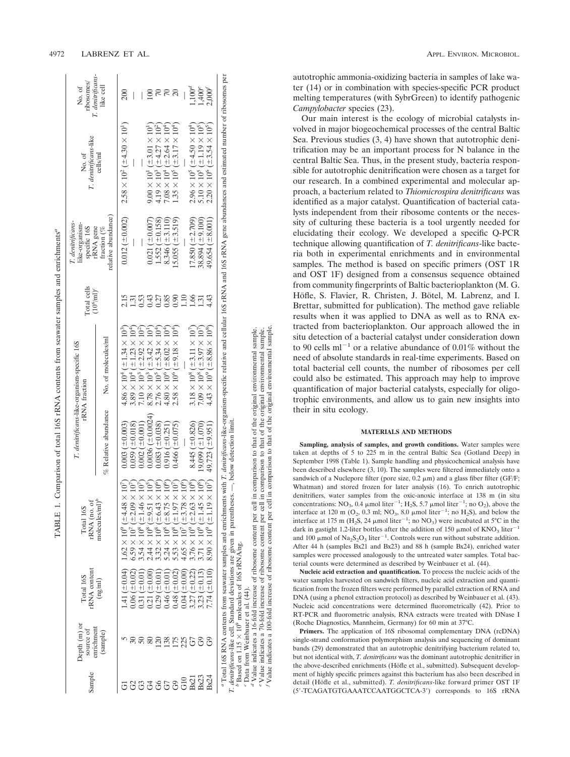| Sample | Depth $(m)$ or<br>enrichment<br>source of | rRNA content<br>Total 16S           | rRNA (no. of<br>Total 16S                                   |                         | T. denitrificans-like-organism-specific 16S<br><b>rRNA</b> fraction | Total cells<br>$(10^6 \text{/ml})^c$ | T. denitrificans<br>like-organism-<br>specific 16S<br>rRNA gene | T. denitrificans-like<br>No. of                              | T. denitrificans<br>ribosomes/<br>No. of |
|--------|-------------------------------------------|-------------------------------------|-------------------------------------------------------------|-------------------------|---------------------------------------------------------------------|--------------------------------------|-----------------------------------------------------------------|--------------------------------------------------------------|------------------------------------------|
|        | (sample)                                  | (ng/ml)                             | molecules/ $ml$ <sup><math>p</math></sup>                   | % Relative abundance    | No. of molecules/ml                                                 |                                      | relative abundance<br>fraction (%                               | cells/ml                                                     | like cell                                |
|        |                                           | $1.41~(\pm 0.04)$                   | $10^7$<br>$1.62\times10^9$ ( $\pm4.48\times$                | $0.003~(\pm 0.003)$     | $4.86 \times 10^4$ ( $\pm 1.34 \times 10^3$ )                       |                                      | $0.012 \ (\pm 0.002)$                                           | $2.58 \times 10^{2}$ ( $\pm 4.30 \times 10^{1}$ )            |                                          |
|        |                                           | $0.06~(\pm 0.02)$                   | $10^7$<br>$5.59 \times 10^{7}$ ( $\pm 2.09 \times$          | $0.059 \ (\pm 0.018)$   | $3.89 \times 10^4$ ( $\pm 1.23 \times 10^4$ )                       |                                      |                                                                 |                                                              |                                          |
| යි     |                                           | $0.31~(\pm 0.01)$                   | $10^7$<br>$3.54 \times 10^8$ ( $\pm 1.46 \times$            | $0.002 \ (\pm 0.001)$   | $7.10 \times 10^3$ ( $\pm 2.92 \times 10^2$ )                       | 0.53                                 |                                                                 |                                                              |                                          |
| 3      |                                           | $-0.00$<br>0.21(                    | $10^5$<br>$2.44 \times 10^8$ ( $\pm 9.51 \times$            | $0.0036~(\pm 0.0024)$   | $8.78 \times 10^3$ ( $\pm 3.42 \times 10^{1}$ )                     | 0.43                                 | $0.021~(\pm 0.007)$                                             | $9.00 \times 10^{1}$ ( $\pm 3.01 \times 10^{1}$ )            |                                          |
| 66     | 120                                       | (10.0)<br>0.29(                     | $10^6$<br>$132 \times 10^8$ ( $\pm 6.43 \times$             | $0.083~(\pm 0.038)$     | $2.76 \times 10^5$ ( $\pm$ 5.34 $\times 10^4$ )                     | 0.27                                 | $1.552 \ (\pm 0.158)$                                           | $4.19 \times 10^3$ ( $\pm 4.27 \times 10^{25}$ )             |                                          |
| 67     | 138                                       | $-10.01$<br>0.46(                   | $10^6$<br>$6.24 \times 10^8$ ( $\pm 8.75 \times$            | $0.916 (\pm 0.251)$     | $80 \times 10^{6}$ ( $\pm 8.02 \times 10^{4}$ )                     | 0.85                                 | $8.346 \ (\pm 3.110)$                                           | $7.08\times10^4$ ( $\pm2.64\times10^4$ )                     |                                          |
|        | 175                                       | $0.48 (\pm 0.02)$                   | $\vec{p}$<br>$5.53 \times 10^8$ ( $\pm 1.97 \times$         | $0.466 (\pm 0.075)$     | $2.58 \times 10^6$ ( $\pm 9.18 \times 10^{4}$ )                     | 0.90                                 | $15.055 \ (\pm 3.519)$                                          | $1.35 \times 10^5$ ( $\pm 3.17 \times 10^4$ )                | $\Omega$                                 |
| G1C    | 225                                       | $\frac{1}{20}$<br>0.04 <sub>0</sub> | $10^6$<br>$4.65 \times 10^{7}$ ( $\pm 3.78 \times$          |                         |                                                                     | 1.10                                 |                                                                 |                                                              |                                          |
| Bx21   | G7                                        | $-0.22$<br>3.27                     | $10^8$<br>$3.76 \times 10^{9}$ ( $\pm 2.63 \times$          | $8.445 (\pm 0.826)$     | $3.18 \times 10^8$ ( $\pm 3.11 \times 10^7$ )                       | 1.66                                 | $17.850 (\pm 2.709)$                                            | $2.96 \times 10^5$ ( $\pm 4.50 \times 10^4$ )                | $1,100^d$                                |
| Bx23   |                                           | $-0.13$<br>3.23(                    | $10^8$<br>$3.71 \times 10^{9}$ ( $\pm 1.45 \times$          | $19.099 \ (\pm 1.070)$  | $7.09 \times 10^8$ ( $\pm 3.97 \times 10^7$ )                       | 1.31                                 | $38.894 \; (\pm 9.100)$                                         | $5.10 \times 10^5$ ( $\pm 1.19 \times 10^5$ )                | $1,400^e$                                |
| Bx24   | $\Im$                                     | $7.74~(\pm 0.10)$                   | 10 <sup>7</sup><br>$8.90 \times 10^{9}$ ( $\pm 1.19 \times$ | $49.723 \; (\pm 9.951)$ | $4.43 \times 10^{9}$ ( $\pm 8.86 \times 10^{8}$ )                   | 4.43                                 | $49.654 \; (\pm 8.001)$                                         | $2.20 \times 10^{6}$ ( $\pm$ 3.54 $\times$ 10 <sup>5</sup> ) | $2,000^{6}$                              |

*b* Based on 1.15 109 molecules of 16S rRNA/ng. *c* Data from Weinbauer et al. (44). *d* Value indicates a 16-fold increase of ribosome content per cell in comparison to that of the original environmental sample.

*f* Value indicates a 100-fold increase of ribosome content per cell in comparison to that of the original environmental sample. in comparison to that of the original environmental sample.<br>in comparison to that of the original environmental sample.<br>I in comparison to that of the original environmental sample. *e* Value indicates a 70-fold increase of ribosome content per cell in comparison to that of the original environmental sample.  $\overline{c}$  $\frac{1}{2}$ <sup>6</sup> Beauty of 1.15 × 10<sup>5</sup> modelule of 160 as Eyecu in partial experience of 161 and the Chat from Weinbauer et al. (44).<br><sup>6</sup> Chat from Weinbauer et al. (44).<br><sup>4</sup> Value indicates a 16-fold increase of ribosome content per autotrophic ammonia-oxidizing bacteria in samples of lake water (14) or in combination with species-specific PCR product melting temperatures (with SybrGreen) to identify pathogenic *Campylobacter* species (23).

Our main interest is the ecology of microbial catalysts involved in major biogeochemical processes of the central Baltic Sea. Previous studies (3, 4) have shown that autotrophic denitrification may be an important process for N balance in the central Baltic Sea. Thus, in the present study, bacteria responsible for autotrophic denitrification were chosen as a target for our research. In a combined experimental and molecular approach, a bacterium related to *Thiomicrospira denitrificans* was identified as a major catalyst. Quantification of bacterial catalysts independent from their ribosome contents or the necessity of culturing these bacteria is a tool urgently needed for elucidating their ecology. We developed a specific Q-PCR technique allowing quantification of *T. denitrificans*-like bacteria both in experimental enrichments and in environmental samples. The method is based on specific primers (OST 1R and OST 1F) designed from a consensus sequence obtained from community fingerprints of Baltic bacterioplankton (M. G. Höfle, S. Flavier, R. Christen, J. Bötel, M. Labrenz, and I. Brettar, submitted for publication). The method gave reliable results when it was applied to DNA as well as to RNA extracted from bacterioplankton. Our approach allowed the in situ detection of a bacterial catalyst under consideration down to 90 cells  $ml^{-1}$  or a relative abundance of 0.01% without the need of absolute standards in real-time experiments. Based on total bacterial cell counts, the number of ribosomes per cell could also be estimated. This approach may help to improve quantification of major bacterial catalysts, especially for oligotrophic environments, and allow us to gain new insights into their in situ ecology.

### **MATERIALS AND METHODS**

**Sampling, analysis of samples, and growth conditions.** Water samples were taken at depths of 5 to 225 m in the central Baltic Sea (Gotland Deep) in September 1998 (Table 1). Sample handling and physicochemical analysis have been described elsewhere (3, 10). The samples were filtered immediately onto a sandwich of a Nuclepore filter (pore size,  $0.2 \mu m$ ) and a glass fiber filter (GF/F; Whatman) and stored frozen for later analysis (16). To enrich autotrophic denitrifiers, water samples from the oxic-anoxic interface at 138 m (in situ concentrations: NO<sub>3</sub>, 0.4  $\mu$ mol liter<sup>-1</sup>; H<sub>2</sub>S, 5.7  $\mu$ mol liter<sup>-1</sup>; no O<sub>2</sub>), above the interface at 120 m ( $O_2$ , 0.3 ml; NO<sub>3</sub>, 8.0  $\mu$ mol liter<sup>-1</sup>; no H<sub>2</sub>S), and below the interface at 175 m (H<sub>2</sub>S, 24  $\mu$ mol liter<sup>-1</sup>; no NO<sub>3</sub>) were incubated at 5°C in the dark in gastight 1.2-liter bottles after the addition of 150  $\mu$ mol of KNO<sub>3</sub> liter<sup>-1</sup> and 100  $\mu$ mol of Na<sub>2</sub>S<sub>2</sub>O<sub>3</sub> liter<sup>-1</sup>. Controls were run without substrate addition. After 44 h (samples Bx21 and Bx23) and 88 h (sample Bx24), enriched water samples were processed analogously to the untreated water samples. Total bacterial counts were determined as described by Weinbauer et al. (44).

**Nucleic acid extraction and quantification.** To process the nucleic acids of the water samples harvested on sandwich filters, nucleic acid extraction and quantification from the frozen filters were performed by parallel extraction of RNA and DNA (using a phenol extraction protocol) as described by Weinbauer et al. (43). Nucleic acid concentrations were determined fluorometrically (42). Prior to RT-PCR and fluorometric analysis, RNA extracts were treated with DNase I (Roche Diagnostics, Mannheim, Germany) for 60 min at 37°C.

**Primers.** The application of 16S ribosomal complementary DNA (rcDNA) single-strand conformation polymorphism analysis and sequencing of dominant bands (29) demonstrated that an autotrophic denitrifying bacterium related to, but not identical with, *T. denitrificans* was the dominant autotrophic denitrifier in the above-described enrichments (Höfle et al., submitted). Subsequent development of highly specific primers against this bacterium has also been described in detail (Höfle et al., submitted). *T. denitrificans*-like forward primer OST 1F (5-TCAGATGTGAAATCCAATGGCTCA-3) corresponds to 16S rRNA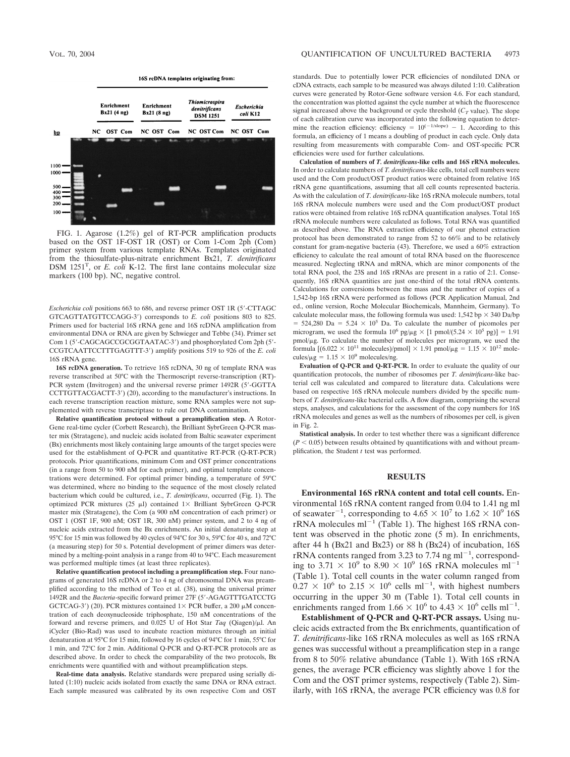

FIG. 1. Agarose (1.2%) gel of RT-PCR amplification products based on the OST 1F-OST 1R (OST) or Com 1-Com 2ph (Com) primer system from various template RNAs. Templates originated from the thiosulfate-plus-nitrate enrichment Bx21, *T. denitrificans* DSM 1251<sup>T</sup>, or *E. coli* K-12. The first lane contains molecular size markers (100 bp). NC, negative control.

*Escherichia coli* positions 663 to 686, and reverse primer OST 1R (5-CTTAGC GTCAGTTATGTTCCAGG-3) corresponds to *E. coli* positions 803 to 825. Primers used for bacterial 16S rRNA gene and 16S rcDNA amplification from environmental DNA or RNA are given by Schwieger and Tebbe (34). Primer set Com 1 (5'-CAGCAGCCGGGTAATAC-3') and phosphorylated Com 2ph (5'-CCGTCAATTCCTTTGAGTTT-3) amplify positions 519 to 926 of the *E. coli* 16S rRNA gene.

**16S rcDNA generation.** To retrieve 16S rcDNA, 30 ng of template RNA was reverse transcribed at 50°C with the Thermoscript reverse-transcription (RT)- PCR system (Invitrogen) and the universal reverse primer 1492R (5'-GGTTA CCTTGTTACGACTT-3) (20), according to the manufacturer's instructions. In each reverse transcription reaction mixture, some RNA samples were not supplemented with reverse transcriptase to rule out DNA contamination.

**Relative quantification protocol without a preamplification step.** A Rotor-Gene real-time cycler (Corbett Research), the Brilliant SybrGreen Q-PCR master mix (Stratagene), and nucleic acids isolated from Baltic seawater experiment (Bx) enrichments most likely containing large amounts of the target species were used for the establishment of Q-PCR and quantitative RT-PCR (Q-RT-PCR) protocols. Prior quantifications, minimum Com and OST primer concentrations (in a range from 50 to 900 nM for each primer), and optimal template concentrations were determined. For optimal primer binding, a temperature of 59°C was determined, where no binding to the sequence of the most closely related bacterium which could be cultured, i.e., *T. denitrificans*, occurred (Fig. 1). The optimized PCR mixtures (25  $\mu$ l) contained 1× Brilliant SybrGreen Q-PCR master mix (Stratagene), the Com (a 900 nM concentration of each primer) or OST 1 (OST 1F, 900 nM; OST 1R, 300 nM) primer system, and 2 to 4 ng of nucleic acids extracted from the Bx enrichments. An initial denaturing step at 95°C for 15 min was followed by 40 cycles of 94°C for 30 s, 59°C for 40 s, and 72°C (a measuring step) for 50 s. Potential development of primer dimers was determined by a melting-point analysis in a range from 40 to 94°C. Each measurement was performed multiple times (at least three replicates).

**Relative quantification protocol including a preamplification step.** Four nanograms of generated 16S rcDNA or 2 to 4 ng of chromosomal DNA was preamplified according to the method of Teo et al. (38), using the universal primer 1492R and the *Bacteria*-specific forward primer 27F (5-AGAGTTTGATCCTG GCTCAG-3') (20). PCR mixtures contained  $1 \times$  PCR buffer, a 200  $\mu$ M concentration of each deoxynucleoside triphosphate, 150 nM concentrations of the forward and reverse primers, and  $0.025$  U of Hot Star *Taq* (Qiagen)/ $\mu$ l. An iCycler (Bio-Rad) was used to incubate reaction mixtures through an initial denaturation at 95°C for 15 min, followed by 16 cycles of 94°C for 1 min, 55°C for 1 min, and 72°C for 2 min. Additional Q-PCR and Q-RT-PCR protocols are as described above. In order to check the comparability of the two protocols, Bx enrichments were quantified with and without preamplification steps.

**Real-time data analysis.** Relative standards were prepared using serially diluted (1:10) nucleic acids isolated from exactly the same DNA or RNA extract. Each sample measured was calibrated by its own respective Com and OST standards. Due to potentially lower PCR efficiencies of nondiluted DNA or cDNA extracts, each sample to be measured was always diluted 1:10. Calibration curves were generated by Rotor-Gene software version 4.6. For each standard, the concentration was plotted against the cycle number at which the fluorescence signal increased above the background or cycle threshold  $(C_T$  value). The slope of each calibration curve was incorporated into the following equation to determine the reaction efficiency: efficiency =  $10^{(-1/\text{slope})} - 1$ . According to this formula, an efficiency of 1 means a doubling of product in each cycle. Only data resulting from measurements with comparable Com- and OST-specific PCR efficiencies were used for further calculations.

**Calculation of numbers of** *T. denitrificans***-like cells and 16S rRNA molecules.** In order to calculate numbers of *T. denitrificans*-like cells, total cell numbers were used and the Com product/OST product ratios were obtained from relative 16S rRNA gene quantifications, assuming that all cell counts represented bacteria. As with the calculation of *T. denitrificans*-like 16S rRNA molecule numbers, total 16S rRNA molecule numbers were used and the Com product/OST product ratios were obtained from relative 16S rcDNA quantification analyses. Total 16S rRNA molecule numbers were calculated as follows. Total RNA was quantified as described above. The RNA extraction efficiency of our phenol extraction protocol has been demonstrated to range from 52 to 66% and to be relatively constant for gram-negative bacteria (43). Therefore, we used a 60% extraction efficiency to calculate the real amount of total RNA based on the fluorescence measured. Neglecting tRNA and mRNA, which are minor components of the total RNA pool, the 23S and 16S rRNAs are present in a ratio of 2:1. Consequently, 16S rRNA quantities are just one-third of the total rRNA contents. Calculations for conversions between the mass and the number of copies of a 1,542-bp 16S rRNA were performed as follows (PCR Application Manual, 2nd ed., online version, Roche Molecular Biochemicals, Mannheim, Germany). To calculate molecular mass, the following formula was used:  $1,542$  bp  $\times$  340 Da/bp  $=$  524,280 Da = 5.24  $\times$  10<sup>5</sup> Da. To calculate the number of picomoles per microgram, we used the formula  $10^6$  pg/ $\mu$ g  $\times$  [1 pmol/(5.24  $\times$  10<sup>5</sup> pg)] = 1.91 pmol/g. To calculate the number of molecules per microgram, we used the formula  $[(6.022 \times 10^{11} \text{ molecules})/ \text{pmol}] \times 1.91 \text{ pmol}/ \mu\text{g} = 1.15 \times 10^{12} \text{ mole}$ cules/ $\mu$ g = 1.15  $\times$  10<sup>9</sup> molecules/ng.

**Evaluation of Q-PCR and Q-RT-PCR.** In order to evaluate the quality of our quantification protocols, the number of ribosomes per *T. denitrificans*-like bacterial cell was calculated and compared to literature data. Calculations were based on respective 16S rRNA molecule numbers divided by the specific numbers of *T. denitrificans*-like bacterial cells. A flow diagram, comprising the several steps, analyses, and calculations for the assessment of the copy numbers for 16S rRNA molecules and genes as well as the numbers of ribosomes per cell, is given in Fig. 2.

**Statistical analysis.** In order to test whether there was a significant difference  $(P < 0.05)$  between results obtained by quantifications with and without preamplification, the Student *t* test was performed.

## **RESULTS**

**Environmental 16S rRNA content and total cell counts.** Environmental 16S rRNA content ranged from 0.04 to 1.41 ng ml of seawater<sup>-1</sup>, corresponding to  $4.65 \times 10^7$  to  $1.62 \times 10^9$  16S  $rRNA$  molecules ml<sup> $-1$ </sup> (Table 1). The highest 16S  $rRNA$  content was observed in the photic zone (5 m). In enrichments, after 44 h (Bx21 and Bx23) or 88 h (Bx24) of incubation, 16S  $rRNA$  contents ranged from 3.23 to 7.74 ng ml<sup>-1</sup>, corresponding to 3.71  $\times$  10<sup>9</sup> to 8.90  $\times$  10<sup>9</sup> 16S rRNA molecules ml<sup>-1</sup> (Table 1). Total cell counts in the water column ranged from  $0.27 \times 10^6$  to 2.15  $\times$  10<sup>6</sup> cells ml<sup>-1</sup>, with highest numbers occurring in the upper 30 m (Table 1). Total cell counts in enrichments ranged from  $1.66 \times 10^6$  to  $4.43 \times 10^6$  cells ml<sup>-1</sup>.

**Establishment of Q-PCR and Q-RT-PCR assays.** Using nucleic acids extracted from the Bx enrichments, quantification of *T. denitrificans*-like 16S rRNA molecules as well as 16S rRNA genes was successful without a preamplification step in a range from 8 to 50% relative abundance (Table 1). With 16S rRNA genes, the average PCR efficiency was slightly above 1 for the Com and the OST primer systems, respectively (Table 2). Similarly, with 16S rRNA, the average PCR efficiency was 0.8 for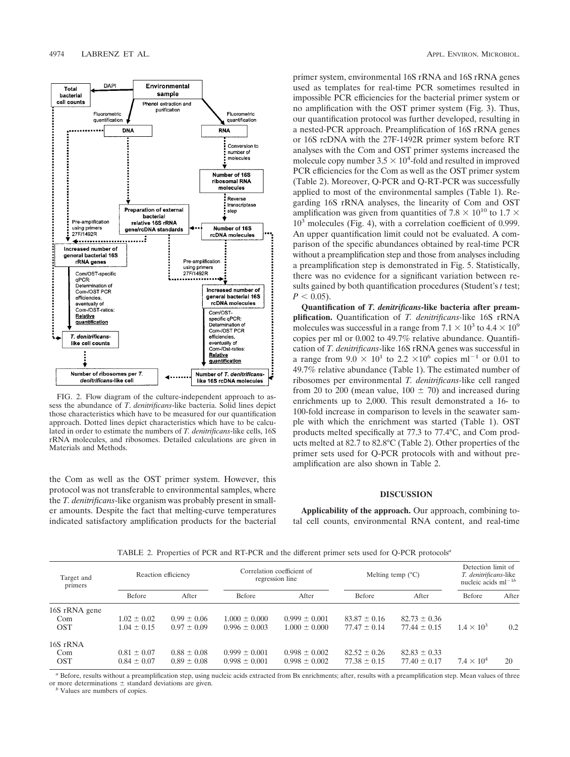

FIG. 2. Flow diagram of the culture-independent approach to assess the abundance of *T*. *denitrificans*-like bacteria. Solid lines depict those characteristics which have to be measured for our quantification approach. Dotted lines depict characteristics which have to be calculated in order to estimate the numbers of *T. denitrificans*-like cells, 16S rRNA molecules, and ribosomes. Detailed calculations are given in Materials and Methods.

the Com as well as the OST primer system. However, this protocol was not transferable to environmental samples, where the *T. denitrificans*-like organism was probably present in smaller amounts. Despite the fact that melting-curve temperatures indicated satisfactory amplification products for the bacterial primer system, environmental 16S rRNA and 16S rRNA genes used as templates for real-time PCR sometimes resulted in impossible PCR efficiencies for the bacterial primer system or no amplification with the OST primer system (Fig. 3). Thus, our quantification protocol was further developed, resulting in a nested-PCR approach. Preamplification of 16S rRNA genes or 16S rcDNA with the 27F-1492R primer system before RT analyses with the Com and OST primer systems increased the molecule copy number  $3.5 \times 10^4$ -fold and resulted in improved PCR efficiencies for the Com as well as the OST primer system (Table 2). Moreover, Q-PCR and Q-RT-PCR was successfully applied to most of the environmental samples (Table 1). Regarding 16S rRNA analyses, the linearity of Com and OST amplification was given from quantities of 7.8  $\times$  10<sup>10</sup> to 1.7  $\times$  $10<sup>3</sup>$  molecules (Fig. 4), with a correlation coefficient of 0.999. An upper quantification limit could not be evaluated. A comparison of the specific abundances obtained by real-time PCR without a preamplification step and those from analyses including a preamplification step is demonstrated in Fig. 5. Statistically, there was no evidence for a significant variation between results gained by both quantification procedures (Student's *t* test;  $P < 0.05$ ).

**Quantification of** *T. denitrificans***-like bacteria after preamplification.** Quantification of *T. denitrificans-*like 16S rRNA molecules was successful in a range from  $7.1 \times 10^3$  to  $4.4 \times 10^9$ copies per ml or 0.002 to 49.7% relative abundance. Quantification of *T. denitrificans*-like 16S rRNA genes was successful in a range from  $9.0 \times 10^1$  to  $2.2 \times 10^6$  copies ml<sup>-1</sup> or 0.01 to 49.7% relative abundance (Table 1). The estimated number of ribosomes per environmental *T. denitrificans-*like cell ranged from 20 to 200 (mean value,  $100 \pm 70$ ) and increased during enrichments up to 2,000. This result demonstrated a 16- to 100-fold increase in comparison to levels in the seawater sample with which the enrichment was started (Table 1). OST products melted specifically at 77.3 to 77.4°C, and Com products melted at 82.7 to 82.8°C (Table 2). Other properties of the primer sets used for Q-PCR protocols with and without preamplification are also shown in Table 2.

## **DISCUSSION**

**Applicability of the approach.** Our approach, combining total cell counts, environmental RNA content, and real-time

| TABLE 2. Properties of PCR and RT-PCR and the different primer sets used for Q-PCR protocols <sup>a</sup> |  |
|-----------------------------------------------------------------------------------------------------------|--|
|-----------------------------------------------------------------------------------------------------------|--|

| Target and<br>primers | Reaction efficiency |                 | Correlation coefficient of<br>regression line |                   | Melting temp $(^{\circ}C)$ |                  | Detection limit of<br>T. denitrificans-like<br>nucleic acids $ml^{-1b}$ |       |
|-----------------------|---------------------|-----------------|-----------------------------------------------|-------------------|----------------------------|------------------|-------------------------------------------------------------------------|-------|
|                       | Before              | After           | Before                                        | After             | Before                     | After            | Before                                                                  | After |
| 16S rRNA gene         |                     |                 |                                               |                   |                            |                  |                                                                         |       |
| Com                   | $1.02 \pm 0.02$     | $0.99 \pm 0.06$ | $1.000 \pm 0.000$                             | $0.999 \pm 0.001$ | $83.87 \pm 0.16$           | $82.73 \pm 0.36$ |                                                                         |       |
| <b>OST</b>            | $1.04 \pm 0.15$     | $0.97 \pm 0.09$ | $0.996 \pm 0.003$                             | $1.000 \pm 0.000$ | $77.47 \pm 0.14$           | $77.44 \pm 0.15$ | $1.4 \times 10^{3}$                                                     | 0.2   |
| 16S rRNA              |                     |                 |                                               |                   |                            |                  |                                                                         |       |
| Com                   | $0.81 \pm 0.07$     | $0.88 \pm 0.08$ | $0.999 \pm 0.001$                             | $0.998 \pm 0.002$ | $82.52 \pm 0.26$           | $82.83 \pm 0.33$ |                                                                         |       |
| <b>OST</b>            | $0.84 \pm 0.07$     | $0.89 \pm 0.08$ | $0.998 \pm 0.001$                             | $0.998 \pm 0.002$ | $77.38 \pm 0.15$           | $77.40 \pm 0.17$ | $7.4 \times 10^4$                                                       | 20    |

*<sup>a</sup>* Before, results without a preamplification step, using nucleic acids extracted from Bx enrichments; after, results with a preamplification step. Mean values of three or more determinations  $\pm$  standard deviations are given. *b* Values are numbers of copies.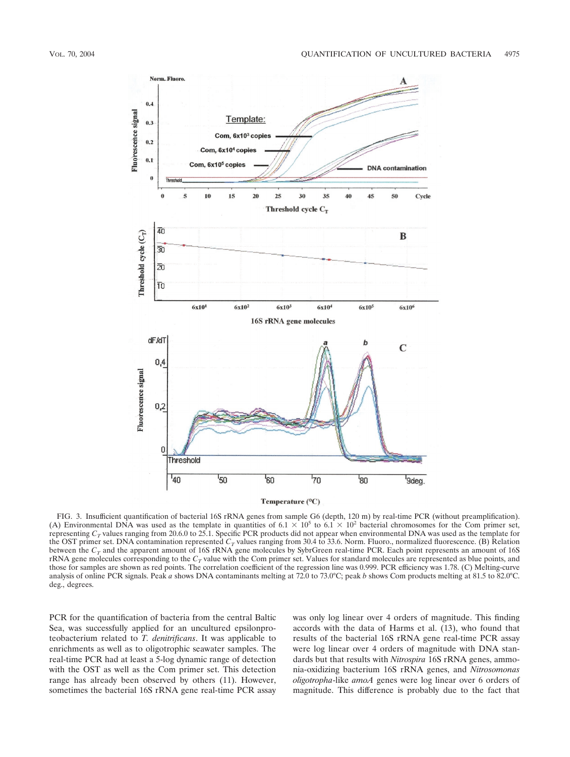

FIG. 3. Insufficient quantification of bacterial 16S rRNA genes from sample G6 (depth, 120 m) by real-time PCR (without preamplification). (A) Environmental DNA was used as the template in quantities of  $6.1 \times 10^5$  to  $6.1 \times 10^2$  bacterial chromosomes for the Com primer set, representing  $C_T$  values ranging from 20.6.0 to 25.1. Specific PCR products did not appear when environmental DNA was used as the template for the OST primer set. DNA contamination represented  $C_T$  values ranging from 30.4 to 33.6. Norm. Fluoro., normalized fluorescence. (B) Relation between the  $C_T$  and the apparent amount of 16S rRNA gene molecules by SybrGreen real-time PCR. Each point represents an amount of 16S rRNA gene molecules corresponding to the  $C_T$  value with the Com primer set. Values for standard molecules are represented as blue points, and those for samples are shown as red points. The correlation coefficient of the regression line was 0.999. PCR efficiency was 1.78. (C) Melting-curve analysis of online PCR signals. Peak *a* shows DNA contaminants melting at 72.0 to 73.0°C; peak *b* shows Com products melting at 81.5 to 82.0°C. deg., degrees.

PCR for the quantification of bacteria from the central Baltic Sea, was successfully applied for an uncultured epsilonproteobacterium related to *T. denitrificans*. It was applicable to enrichments as well as to oligotrophic seawater samples. The real-time PCR had at least a 5-log dynamic range of detection with the OST as well as the Com primer set. This detection range has already been observed by others (11). However, sometimes the bacterial 16S rRNA gene real-time PCR assay was only log linear over 4 orders of magnitude. This finding accords with the data of Harms et al. (13), who found that results of the bacterial 16S rRNA gene real-time PCR assay were log linear over 4 orders of magnitude with DNA standards but that results with *Nitrospira* 16S rRNA genes, ammonia-oxidizing bacterium 16S rRNA genes, and *Nitrosomonas oligotropha*-like *amoA* genes were log linear over 6 orders of magnitude. This difference is probably due to the fact that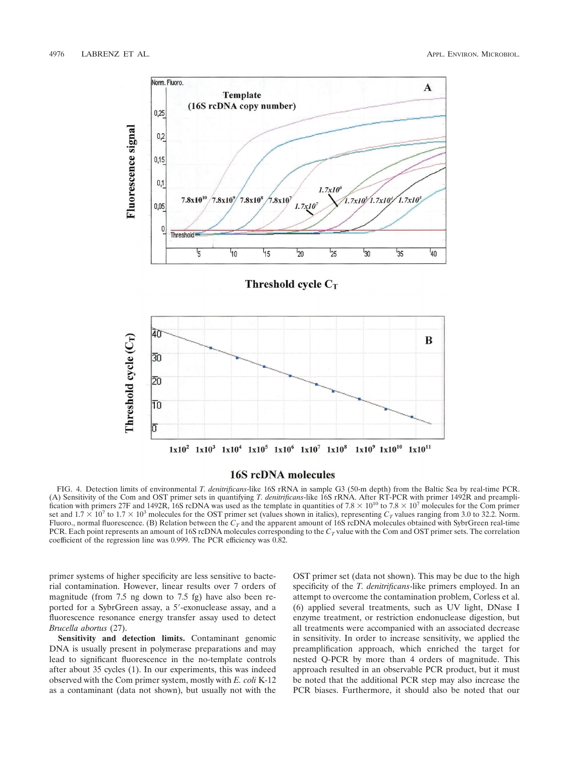

## 16S rcDNA molecules

FIG. 4. Detection limits of environmental *T. denitrificans*-like 16S rRNA in sample G3 (50-m depth) from the Baltic Sea by real-time PCR. (A) Sensitivity of the Com and OST primer sets in quantifying *T. denitrificans*-like 16S rRNA. After RT-PCR with primer 1492R and preamplification with primers 27F and 1492R, 16S rcDNA was used as the template in quantities of  $7.8 \times 10^{10}$  to  $7.8 \times 10^{7}$  molecules for the Com primer set and  $1.7 \times 10^7$  to  $1.7 \times 10^3$  molecules for the OST primer set (values shown in italics), representing  $C_T$  values ranging from 3.0 to 32.2. Norm. Fluoro., normal fluorescence. (B) Relation between the  $C_T$  and the apparent amount of 16S rcDNA molecules obtained with SybrGreen real-time PCR. Each point represents an amount of 16S rcDNA molecules corresponding to the  $C_T$  value with the Com and OST primer sets. The correlation coefficient of the regression line was 0.999. The PCR efficiency was 0.82.

primer systems of higher specificity are less sensitive to bacterial contamination. However, linear results over 7 orders of magnitude (from 7.5 ng down to 7.5 fg) have also been reported for a SybrGreen assay, a 5'-exonuclease assay, and a fluorescence resonance energy transfer assay used to detect *Brucella abortus* (27).

**Sensitivity and detection limits.** Contaminant genomic DNA is usually present in polymerase preparations and may lead to significant fluorescence in the no-template controls after about 35 cycles (1). In our experiments, this was indeed observed with the Com primer system, mostly with *E. coli* K-12 as a contaminant (data not shown), but usually not with the

OST primer set (data not shown). This may be due to the high specificity of the *T. denitrificans*-like primers employed. In an attempt to overcome the contamination problem, Corless et al. (6) applied several treatments, such as UV light, DNase I enzyme treatment, or restriction endonuclease digestion, but all treatments were accompanied with an associated decrease in sensitivity. In order to increase sensitivity, we applied the preamplification approach, which enriched the target for nested Q-PCR by more than 4 orders of magnitude. This approach resulted in an observable PCR product, but it must be noted that the additional PCR step may also increase the PCR biases. Furthermore, it should also be noted that our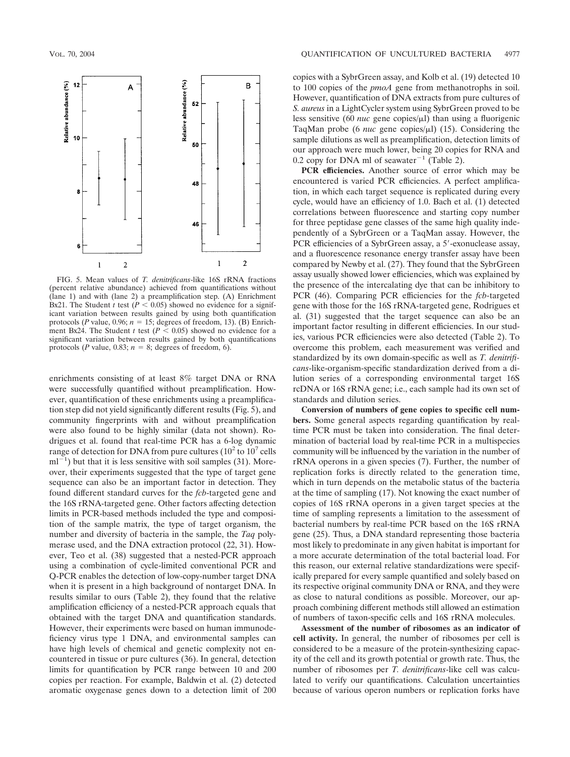

FIG. 5. Mean values of *T. denitrificans*-like 16S rRNA fractions (percent relative abundance) achieved from quantifications without (lane 1) and with (lane 2) a preamplification step. (A) Enrichment Bx21. The Student *t* test ( $P < 0.05$ ) showed no evidence for a significant variation between results gained by using both quantification protocols ( $P$  value, 0.96;  $n = 15$ ; degrees of freedom, 13). (B) Enrichment Bx24. The Student *t* test ( $P < 0.05$ ) showed no evidence for a significant variation between results gained by both quantifications protocols (*P* value, 0.83;  $n = 8$ ; degrees of freedom, 6).

enrichments consisting of at least 8% target DNA or RNA were successfully quantified without preamplification. However, quantification of these enrichments using a preamplification step did not yield significantly different results (Fig. 5), and community fingerprints with and without preamplification were also found to be highly similar (data not shown). Rodrigues et al. found that real-time PCR has a 6-log dynamic range of detection for DNA from pure cultures  $(10^2 \text{ to } 10^7 \text{ cells})$  $ml^{-1}$ ) but that it is less sensitive with soil samples (31). Moreover, their experiments suggested that the type of target gene sequence can also be an important factor in detection. They found different standard curves for the *fcb*-targeted gene and the 16S rRNA-targeted gene. Other factors affecting detection limits in PCR-based methods included the type and composition of the sample matrix, the type of target organism, the number and diversity of bacteria in the sample, the *Taq* polymerase used, and the DNA extraction protocol (22, 31). However, Teo et al. (38) suggested that a nested-PCR approach using a combination of cycle-limited conventional PCR and Q-PCR enables the detection of low-copy-number target DNA when it is present in a high background of nontarget DNA. In results similar to ours (Table 2), they found that the relative amplification efficiency of a nested-PCR approach equals that obtained with the target DNA and quantification standards. However, their experiments were based on human immunodeficiency virus type 1 DNA, and environmental samples can have high levels of chemical and genetic complexity not encountered in tissue or pure cultures (36). In general, detection limits for quantification by PCR range between 10 and 200 copies per reaction. For example, Baldwin et al. (2) detected aromatic oxygenase genes down to a detection limit of 200

copies with a SybrGreen assay, and Kolb et al. (19) detected 10 to 100 copies of the *pmoA* gene from methanotrophs in soil. However, quantification of DNA extracts from pure cultures of *S. aureus* in a LightCycler system using SybrGreen proved to be less sensitive (60 *nuc* gene copies/µl) than using a fluorigenic TaqMan probe (6 *nuc* gene copies/ $\mu$ I) (15). Considering the sample dilutions as well as preamplification, detection limits of our approach were much lower, being 20 copies for RNA and 0.2 copy for DNA ml of seawater<sup>-1</sup> (Table 2).

**PCR efficiencies.** Another source of error which may be encountered is varied PCR efficiencies. A perfect amplification, in which each target sequence is replicated during every cycle, would have an efficiency of 1.0. Bach et al. (1) detected correlations between fluorescence and starting copy number for three peptidase gene classes of the same high quality independently of a SybrGreen or a TaqMan assay. However, the PCR efficiencies of a SybrGreen assay, a 5'-exonuclease assay, and a fluorescence resonance energy transfer assay have been compared by Newby et al. (27). They found that the SybrGreen assay usually showed lower efficiencies, which was explained by the presence of the intercalating dye that can be inhibitory to PCR (46). Comparing PCR efficiencies for the *fcb*-targeted gene with those for the 16S rRNA-targeted gene, Rodrigues et al. (31) suggested that the target sequence can also be an important factor resulting in different efficiencies. In our studies, various PCR efficiencies were also detected (Table 2). To overcome this problem, each measurement was verified and standardized by its own domain-specific as well as *T. denitrificans*-like-organism-specific standardization derived from a dilution series of a corresponding environmental target 16S rcDNA or 16S rRNA gene; i.e., each sample had its own set of standards and dilution series.

**Conversion of numbers of gene copies to specific cell numbers.** Some general aspects regarding quantification by realtime PCR must be taken into consideration. The final determination of bacterial load by real-time PCR in a multispecies community will be influenced by the variation in the number of rRNA operons in a given species (7). Further, the number of replication forks is directly related to the generation time, which in turn depends on the metabolic status of the bacteria at the time of sampling (17). Not knowing the exact number of copies of 16S rRNA operons in a given target species at the time of sampling represents a limitation to the assessment of bacterial numbers by real-time PCR based on the 16S rRNA gene (25). Thus, a DNA standard representing those bacteria most likely to predominate in any given habitat is important for a more accurate determination of the total bacterial load. For this reason, our external relative standardizations were specifically prepared for every sample quantified and solely based on its respective original community DNA or RNA, and they were as close to natural conditions as possible. Moreover, our approach combining different methods still allowed an estimation of numbers of taxon-specific cells and 16S rRNA molecules.

**Assessment of the number of ribosomes as an indicator of cell activity.** In general, the number of ribosomes per cell is considered to be a measure of the protein-synthesizing capacity of the cell and its growth potential or growth rate. Thus, the number of ribosomes per *T. denitrificans*-like cell was calculated to verify our quantifications. Calculation uncertainties because of various operon numbers or replication forks have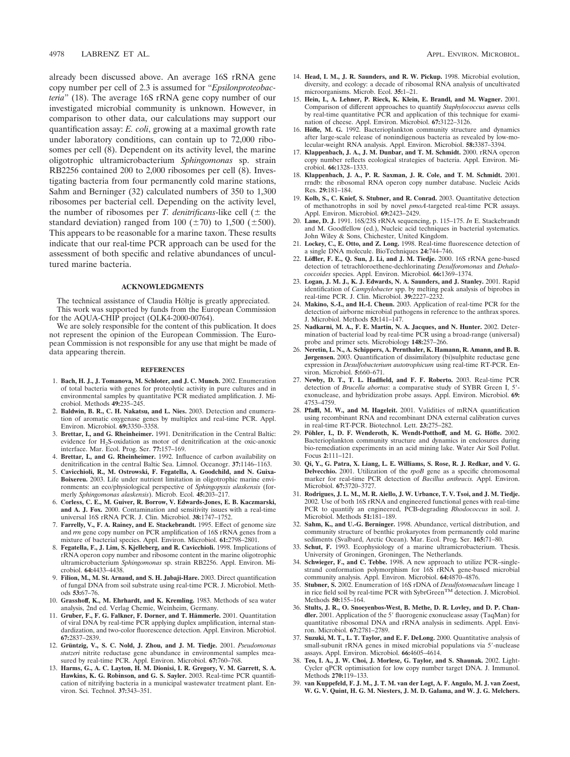already been discussed above. An average 16S rRNA gene copy number per cell of 2.3 is assumed for "*Epsilonproteobacteria*" (18). The average 16S rRNA gene copy number of our investigated microbial community is unknown. However, in comparison to other data, our calculations may support our quantification assay: *E. coli*, growing at a maximal growth rate under laboratory conditions, can contain up to 72,000 ribosomes per cell (8). Dependent on its activity level, the marine oligotrophic ultramicrobacterium *Sphingomonas* sp. strain RB2256 contained 200 to 2,000 ribosomes per cell (8). Investigating bacteria from four permanently cold marine stations, Sahm and Berninger (32) calculated numbers of 350 to 1,300 ribosomes per bacterial cell. Depending on the activity level, the number of ribosomes per *T. denitrificans*-like cell  $(\pm$  the standard deviation) ranged from 100 ( $\pm$ 70) to 1,500 ( $\pm$ 500). This appears to be reasonable for a marine taxon. These results indicate that our real-time PCR approach can be used for the assessment of both specific and relative abundances of uncultured marine bacteria.

### **ACKNOWLEDGMENTS**

The technical assistance of Claudia Höltje is greatly appreciated. This work was supported by funds from the European Commission for the AQUA-CHIP project (QLK4-2000-00764).

We are solely responsible for the content of this publication. It does not represent the opinion of the European Commission. The European Commission is not responsible for any use that might be made of data appearing therein.

#### **REFERENCES**

- 1. **Bach, H. J., J. Tomanova, M. Schloter, and J. C. Munch.** 2002. Enumeration of total bacteria with genes for proteolytic activity in pure cultures and in environmental samples by quantitative PCR mediated amplification. J. Microbiol. Methods **49:**235–245.
- 2. **Baldwin, B. R., C. H. Nakatsu, and L. Nies.** 2003. Detection and enumeration of aromatic oxygenase genes by multiplex and real-time PCR. Appl. Environ. Microbiol. **69:**3350–3358.
- 3. **Brettar, I., and G. Rheinheimer.** 1991. Denitrification in the Central Baltic: evidence for H2S-oxidation as motor of denitrification at the oxic-anoxic interface. Mar. Ecol. Prog. Ser. **77:**157–169.
- 4. **Brettar, I., and G. Rheinheimer.** 1992. Influence of carbon availability on denitrification in the central Baltic Sea. Limnol. Oceanogr. **37:**1146–1163.
- 5. **Cavicchioli, R., M. Ostrowski, F. Fegatella, A. Goodchild, and N. Guixa-Boixereu.** 2003. Life under nutrient limitation in oligotrophic marine environments: an eco/physiological perspective of *Sphingopyxis alaskensis* (formerly *Sphingomonas alaskensis*). Microb. Ecol. **45:**203–217.
- 6. **Corless, C. E., M. Guiver, R. Borrow, V. Edwards-Jones, E. B. Kaczmarski, and A. J. Fox.** 2000. Contamination and sensitivity issues with a real-time universal 16S rRNA PCR. J. Clin. Microbiol. **38:**1747–1752.
- 7. **Farrelly, V., F. A. Rainey, and E. Stackebrandt.** 1995. Effect of genome size and *rrn* gene copy number on PCR amplification of 16S rRNA genes from a mixture of bacterial species. Appl. Environ. Microbiol. **61:**2798–2801.
- 8. **Fegatella, F., J. Lim, S. Kjelleberg, and R. Cavicchioli.** 1998. Implications of rRNA operon copy number and ribosome content in the marine oligotrophic ultramicrobacterium *Sphingomonas* sp. strain RB2256. Appl. Environ. Microbiol. **64:**4433–4438.
- 9. **Filion, M., M. St. Arnaud, and S. H. Jabaji-Hare.** 2003. Direct quantification of fungal DNA from soil substrate using real-time PCR. J. Microbiol. Methods **53:**67–76.
- 10. **Grasshoff, K., M. Ehrhardt, and K. Kremling.** 1983. Methods of sea water analysis, 2nd ed. Verlag Chemie, Weinheim, Germany.
- 11. Gruber, F., F. G. Falkner, F. Dorner, and T. Hämmerle. 2001. Quantitation of viral DNA by real-time PCR applying duplex amplification, internal standardization, and two-color fluorescence detection. Appl. Environ. Microbiol. **67:**2837–2839.
- 12. Grüntzig, V., S. C. Nold, J. Zhou, and J. M. Tiedje. 2001. *Pseudomonas stutzeri* nitrite reductase gene abundance in environmental samples measured by real-time PCR. Appl. Environ. Microbiol. **67:**760–768.
- 13. **Harms, G., A. C. Layton, H. M. Dionisi, I. R. Gregory, V. M. Garrett, S. A. Hawkins, K. G. Robinson, and G. S. Sayler.** 2003. Real-time PCR quantification of nitrifying bacteria in a municipal wastewater treatment plant. Environ. Sci. Technol. **37:**343–351.
- 14. **Head, I. M., J. R. Saunders, and R. W. Pickup.** 1998. Microbial evolution, diversity, and ecology: a decade of ribosomal RNA analysis of uncultivated microorganisms. Microb. Ecol. **35:**1–21.
- 15. **Hein, I., A. Lehner, P. Rieck, K. Klein, E. Brandl, and M. Wagner.** 2001. Comparison of different approaches to quantify *Staphylococcus aureus* cells by real-time quantitative PCR and application of this technique for examination of cheese. Appl. Environ. Microbiol. **67:**3122–3126.
- 16. **Höfle, M. G.** 1992. Bacterioplankton community structure and dynamics after large-scale release of nonindigenous bacteria as revealed by low-molecular-weight RNA analysis. Appl. Environ. Microbiol. **58:**3387–3394.
- 17. **Klappenbach, J. A., J. M. Dunbar, and T. M. Schmidt.** 2000. rRNA operon copy number reflects ecological strategies of bacteria. Appl. Environ. Microbiol. **66:**1328–1333.
- 18. **Klappenbach, J. A., P. R. Saxman, J. R. Cole, and T. M. Schmidt.** 2001. rrndb: the ribosomal RNA operon copy number database. Nucleic Acids Res. **29:**181–184.
- 19. **Kolb, S., C. Knief, S. Stubner, and R. Conrad.** 2003. Quantitative detection of methanotrophs in soil by novel *pmoA*-targeted real-time PCR assays. Appl. Environ. Microbiol. **69:**2423–2429.
- 20. **Lane, D. J.** 1991. 16S/23S rRNA sequencing, p. 115–175. *In* E. Stackebrandt and M. Goodfellow (ed.), Nucleic acid techniques in bacterial systematics. John Wiley & Sons, Chichester, United Kingdom.
- 21. **Lockey, C., E. Otto, and Z. Long.** 1998. Real-time fluorescence detection of a single DNA molecule. BioTechniques **24:**744–746.
- 22. Löffler, F. E., Q. Sun, J. Li, and J. M. Tiedje. 2000. 16S rRNA gene-based detection of tetrachloroethene-dechlorinating *Desulforomonas* and *Dehalococcoides* species. Appl. Environ. Microbiol. **66:**1369–1374.
- 23. **Logan, J. M. J., K. J. Edwards, N. A. Saunders, and J. Stanley.** 2001. Rapid identification of *Campylobacter* spp. by melting peak analysis of biprobes in real-time PCR. J. Clin. Microbiol. **39:**2227–2232.
- 24. **Makino, S.-I., and H.-I. Cheun.** 2003. Application of real-time PCR for the detection of airborne microbial pathogens in reference to the anthrax spores. J. Microbiol. Methods **53:**141–147.
- 25. **Nadkarni, M. A., F. E. Martin, N. A. Jacques, and N. Hunter.** 2002. Determination of bacterial load by real-time PCR using a broad-range (universal) probe and primer sets. Microbiology **148:**257–266.
- 26. **Neretin, L. N., A. Schippers, A. Pernthaler, K. Hamann, R. Amann, and B. B. Jørgensen.** 2003. Quantification of dissimilatory (bi)sulphite reductase gene expression in *Desulfobacterium autotrophicum* using real-time RT-PCR. Environ. Microbiol. **5:**660–671.
- 27. **Newby, D. T., T. L. Hadfield, and F. F. Roberto.** 2003. Real-time PCR detection of *Brucella abortus*: a comparative study of SYBR Green I, 5'exonuclease, and hybridization probe assays. Appl. Environ. Microbiol. **69:** 4753–4759.
- 28. **Pfaffl, M. W., and M. Hageleit.** 2001. Validities of mRNA quantification using recombinant RNA and recombinant DNA external calibration curves in real-time RT-PCR. Biotechnol. Lett. **23:**275–282.
- 29. Pöhler, I., D. F. Wenderoth, K. Wendt-Potthoff, and M. G. Höfle. 2002. Bacterioplankton community structure and dynamics in enclosures during bio-remediation experiments in an acid mining lake. Water Air Soil Pollut. Focus **2:**111–121.
- 30. **Qi, Y., G. Patra, X. Liang, L. E. Williams, S. Rose, R. J. Redkar, and V. G. Delvecchio.** 2001. Utilization of the *rpoB* gene as a specific chromosomal marker for real-time PCR detection of *Bacillus anthracis.* Appl. Environ. Microbiol. **67:**3720–3727.
- 31. **Rodrigues, J. L. M., M. R. Aiello, J. W. Urbance, T. V. Tsoi, and J. M. Tiedje.** 2002. Use of both 16S rRNA and engineered functional genes with real-time PCR to quantify an engineered, PCB-degrading *Rhodococcus* in soil. J. Microbiol. Methods **51:**181–189.
- 32. **Sahm, K., and U.-G. Berninger.** 1998. Abundance, vertical distribution, and community structure of benthic prokaryotes from permanently cold marine sediments (Svalbard, Arctic Ocean). Mar. Ecol. Prog. Ser. **165:**71–80.
- 33. **Schut, F.** 1993. Ecophysiology of a marine ultramicrobacterium. Thesis. University of Groningen, Groningen, The Netherlands.
- 34. **Schwieger, F., and C. Tebbe.** 1998. A new approach to utilize PCR–singlestrand conformation polymorphism for 16S rRNA gene-based microbial community analysis. Appl. Environ. Microbiol. **64:**4870–4876.
- 35. **Stubner, S.** 2002. Enumeration of 16S rDNA of *Desulfotomaculum* lineage 1 **EXIGNET, S. 2002.** Entrineed for 109 121 at the Bestaper material metallic 1 in rice field soil by real-time PCR with SybrGreen<sup>TM</sup> detection. J. Microbiol. Methods **50:**155–164.
- 36. **Stults, J. R., O. Snoeyenbos-West, B. Methe, D. R. Lovley, and D. P. Chan**dler. 2001. Application of the 5' fluorogenic exonuclease assay (TaqMan) for quantitative ribosomal DNA and rRNA analysis in sediments. Appl. Environ. Microbiol. **67:**2781–2789.
- 37. **Suzuki, M. T., L. T. Taylor, and E. F. DeLong.** 2000. Quantitative analysis of small-subunit rRNA genes in mixed microbial populations via 5'-nuclease assays. Appl. Environ. Microbiol. **66:**4605–4614.
- 38. **Teo, I. A., J. W. Choi, J. Morlese, G. Taylor, and S. Shaunak.** 2002. Light-Cycler qPCR optimisation for low copy number target DNA. J. Immunol. Methods **270:**119–133.
- 39. **van Kuppefeld, F. J. M., J. T. M. van der Logt, A. F. Angulo, M. J. van Zoest, W. G. V. Quint, H. G. M. Niesters, J. M. D. Galama, and W. J. G. Melchers.**